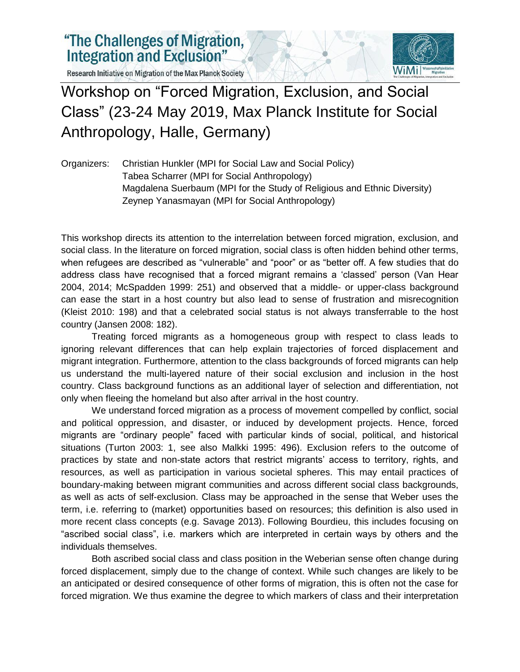Research Initiative on Migration of the Max Planck Society



## Workshop on "Forced Migration, Exclusion, and Social Class" (23-24 May 2019, Max Planck Institute for Social Anthropology, Halle, Germany)

Organizers: Christian Hunkler (MPI for Social Law and Social Policy) Tabea Scharrer (MPI for Social Anthropology) Magdalena Suerbaum (MPI for the Study of Religious and Ethnic Diversity) Zeynep Yanasmayan (MPI for Social Anthropology)

This workshop directs its attention to the interrelation between forced migration, exclusion, and social class. In the literature on forced migration, social class is often hidden behind other terms, when refugees are described as "vulnerable" and "poor" or as "better off. A few studies that do address class have recognised that a forced migrant remains a 'classed' person (Van Hear 2004, 2014; McSpadden 1999: 251) and observed that a middle- or upper-class background can ease the start in a host country but also lead to sense of frustration and misrecognition (Kleist 2010: 198) and that a celebrated social status is not always transferrable to the host country (Jansen 2008: 182).

Treating forced migrants as a homogeneous group with respect to class leads to ignoring relevant differences that can help explain trajectories of forced displacement and migrant integration. Furthermore, attention to the class backgrounds of forced migrants can help us understand the multi-layered nature of their social exclusion and inclusion in the host country. Class background functions as an additional layer of selection and differentiation, not only when fleeing the homeland but also after arrival in the host country.

We understand forced migration as a process of movement compelled by conflict, social and political oppression, and disaster, or induced by development projects. Hence, forced migrants are "ordinary people" faced with particular kinds of social, political, and historical situations (Turton 2003: 1, see also Malkki 1995: 496). Exclusion refers to the outcome of practices by state and non-state actors that restrict migrants' access to territory, rights, and resources, as well as participation in various societal spheres. This may entail practices of boundary-making between migrant communities and across different social class backgrounds, as well as acts of self-exclusion. Class may be approached in the sense that Weber uses the term, i.e. referring to (market) opportunities based on resources; this definition is also used in more recent class concepts (e.g. Savage 2013). Following Bourdieu, this includes focusing on "ascribed social class", i.e. markers which are interpreted in certain ways by others and the individuals themselves.

Both ascribed social class and class position in the Weberian sense often change during forced displacement, simply due to the change of context. While such changes are likely to be an anticipated or desired consequence of other forms of migration, this is often not the case for forced migration. We thus examine the degree to which markers of class and their interpretation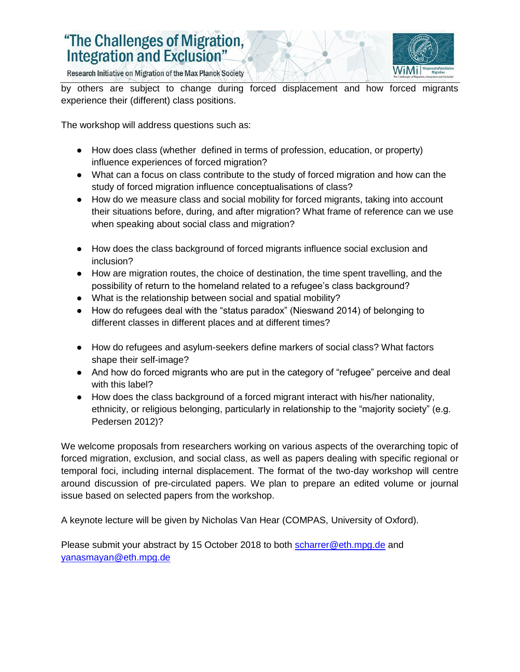## "The Challenges of Migration, **Integration and Exclusion"**



Research Initiative on Migration of the Max Planck Society

by others are subject to change during forced displacement and how forced migrants experience their (different) class positions.

The workshop will address questions such as:

- How does class (whether defined in terms of profession, education, or property) influence experiences of forced migration?
- What can a focus on class contribute to the study of forced migration and how can the study of forced migration influence conceptualisations of class?
- How do we measure class and social mobility for forced migrants, taking into account their situations before, during, and after migration? What frame of reference can we use when speaking about social class and migration?
- How does the class background of forced migrants influence social exclusion and inclusion?
- How are migration routes, the choice of destination, the time spent travelling, and the possibility of return to the homeland related to a refugee's class background?
- What is the relationship between social and spatial mobility?
- How do refugees deal with the "status paradox" (Nieswand 2014) of belonging to different classes in different places and at different times?
- How do refugees and asylum-seekers define markers of social class? What factors shape their self-image?
- And how do forced migrants who are put in the category of "refugee" perceive and deal with this label?
- How does the class background of a forced migrant interact with his/her nationality, ethnicity, or religious belonging, particularly in relationship to the "majority society" (e.g. Pedersen 2012)?

We welcome proposals from researchers working on various aspects of the overarching topic of forced migration, exclusion, and social class, as well as papers dealing with specific regional or temporal foci, including internal displacement. The format of the two-day workshop will centre around discussion of pre-circulated papers. We plan to prepare an edited volume or journal issue based on selected papers from the workshop.

A keynote lecture will be given by Nicholas Van Hear (COMPAS, University of Oxford).

Please submit your abstract by 15 October 2018 to both [scharrer@eth.mpg.de](mailto:scharrer@eth.mpg.de) and [yanasmayan@eth.mpg.de](mailto:yanasmayan@eth.mpg.de)